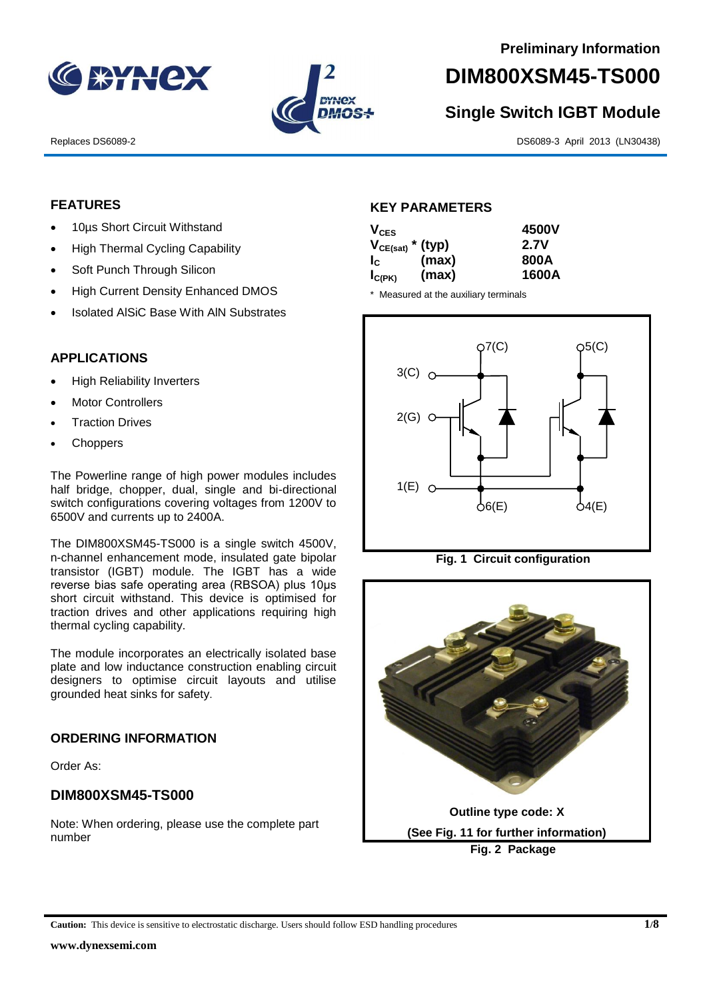



# **DIM800XSM45-TS000**

# **Single Switch IGBT Module**

Replaces DS6089-2 DS6089-3 April 2013 (LN30438)

### **FEATURES**

- 10µs Short Circuit Withstand
- High Thermal Cycling Capability
- Soft Punch Through Silicon
- High Current Density Enhanced DMOS
- Isolated AlSiC Base With AlN Substrates

## **APPLICATIONS**

- High Reliability Inverters
- Motor Controllers
- Traction Drives
- **Choppers**

The Powerline range of high power modules includes half bridge, chopper, dual, single and bi-directional switch configurations covering voltages from 1200V to 6500V and currents up to 2400A.

The DIM800XSM45-TS000 is a single switch 4500V, n-channel enhancement mode, insulated gate bipolar transistor (IGBT) module. The IGBT has a wide reverse bias safe operating area (RBSOA) plus 10μs short circuit withstand. This device is optimised for traction drives and other applications requiring high thermal cycling capability.

The module incorporates an electrically isolated base plate and low inductance construction enabling circuit designers to optimise circuit layouts and utilise grounded heat sinks for safety.

### **ORDERING INFORMATION**

Order As:

# **DIM800XSM45-TS000**

Note: When ordering, please use the complete part number

#### **KEY PARAMETERS**

| $V_{CES}$                 |       | 4500V |
|---------------------------|-------|-------|
| $V_{CE(sat)}$ * (typ)     |       | 2.7V  |
| $\mathsf{I}_{\mathsf{C}}$ | (max) | 800A  |
| $I_{C(PK)}$               | (max) | 1600A |

\* Measured at the auxiliary terminals







**Caution:** This device is sensitive to electrostatic discharge. Users should follow ESD handling procedures **1/8**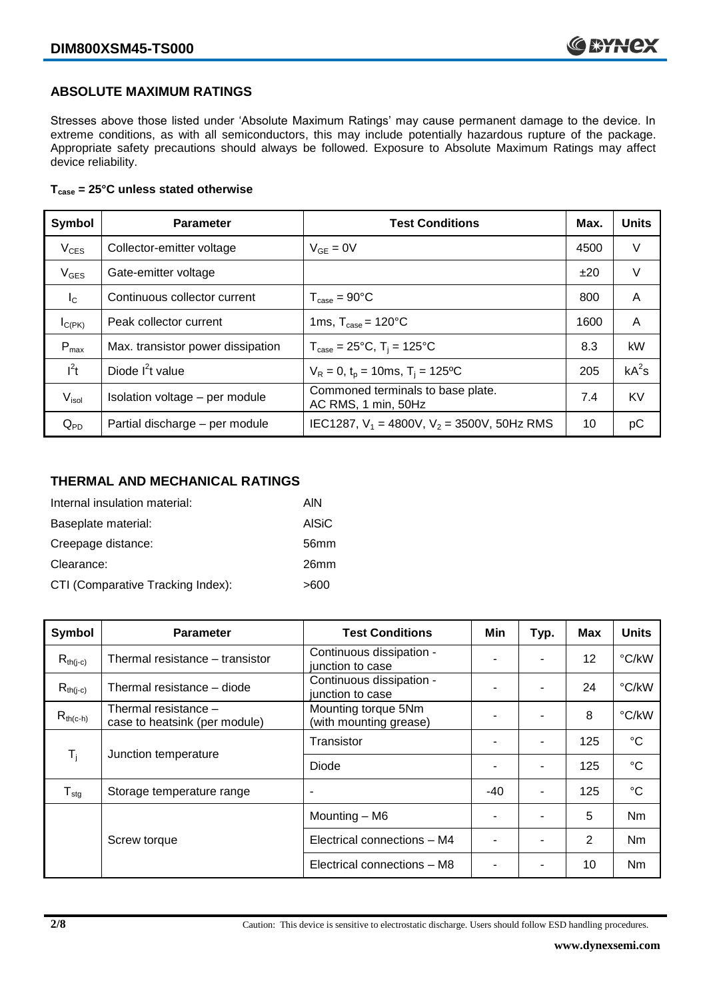### **ABSOLUTE MAXIMUM RATINGS**

Stresses above those listed under 'Absolute Maximum Ratings' may cause permanent damage to the device. In extreme conditions, as with all semiconductors, this may include potentially hazardous rupture of the package. Appropriate safety precautions should always be followed. Exposure to Absolute Maximum Ratings may affect device reliability.

#### **Tcase = 25°C unless stated otherwise**

| Symbol            | <b>Parameter</b>                  | <b>Test Conditions</b>                                   |      | <b>Units</b> |
|-------------------|-----------------------------------|----------------------------------------------------------|------|--------------|
| $V_{CES}$         | Collector-emitter voltage         | $V_{GF} = 0V$                                            | 4500 | V            |
| $V_{GES}$         | Gate-emitter voltage              |                                                          | ±20  | V            |
| $I_{\rm C}$       | Continuous collector current      | $T_{\text{case}} = 90^{\circ}$ C                         | 800  | A            |
| $I_{C(PK)}$       | Peak collector current            | 1ms, $T_{\text{case}} = 120^{\circ}$ C                   | 1600 | A            |
| $P_{max}$         | Max. transistor power dissipation | $T_{\text{case}} = 25^{\circ}C$ , $T_i = 125^{\circ}C$   | 8.3  | kW           |
| $I^2t$            | Diode $I^2t$ value                | $V_R = 0$ , $t_p = 10$ ms, $T_i = 125$ °C                | 205  | $kA^2s$      |
| V <sub>isol</sub> | Isolation voltage - per module    | Commoned terminals to base plate.<br>AC RMS, 1 min, 50Hz | 7.4  | <b>KV</b>    |
| $Q_{PD}$          | Partial discharge - per module    | IEC1287, $V_1$ = 4800V, $V_2$ = 3500V, 50Hz RMS          | 10   | рC           |

#### **THERMAL AND MECHANICAL RATINGS**

| Internal insulation material:     | AIN          |
|-----------------------------------|--------------|
| Baseplate material:               | <b>AISiC</b> |
| Creepage distance:                | 56mm         |
| Clearance:                        | 26mm         |
| CTI (Comparative Tracking Index): | >600         |

| Symbol                     | <b>Parameter</b>                                      | <b>Test Conditions</b>                        | Min | Typ.           | Max | <b>Units</b>    |
|----------------------------|-------------------------------------------------------|-----------------------------------------------|-----|----------------|-----|-----------------|
| $R_{th(j-c)}$              | Thermal resistance – transistor                       | Continuous dissipation -<br>junction to case  |     |                | 12  | °C/kW           |
| $R_{th(i-c)}$              | Thermal resistance - diode                            | Continuous dissipation -<br>junction to case  |     |                | 24  | °C/kW           |
| $R_{th(c-h)}$              | Thermal resistance -<br>case to heatsink (per module) | Mounting torque 5Nm<br>(with mounting grease) | -   |                | 8   | °C/kW           |
| $\mathsf{T}_{\mathsf{i}}$  | Junction temperature                                  | Transistor                                    |     | $\blacksquare$ | 125 | $^{\circ}C$     |
|                            |                                                       | Diode                                         | ٠   |                | 125 | $\rm ^{\circ}C$ |
| ${\mathsf T}_{\text{stg}}$ | Storage temperature range                             | $\overline{\phantom{a}}$                      | -40 | $\blacksquare$ | 125 | $^{\circ}C$     |
|                            |                                                       | Mounting - M6                                 |     |                | 5   | Nm              |
|                            | Screw torque                                          | Electrical connections - M4                   |     |                | 2   | N <sub>m</sub>  |
|                            |                                                       | Electrical connections - M8                   |     |                | 10  | Nm              |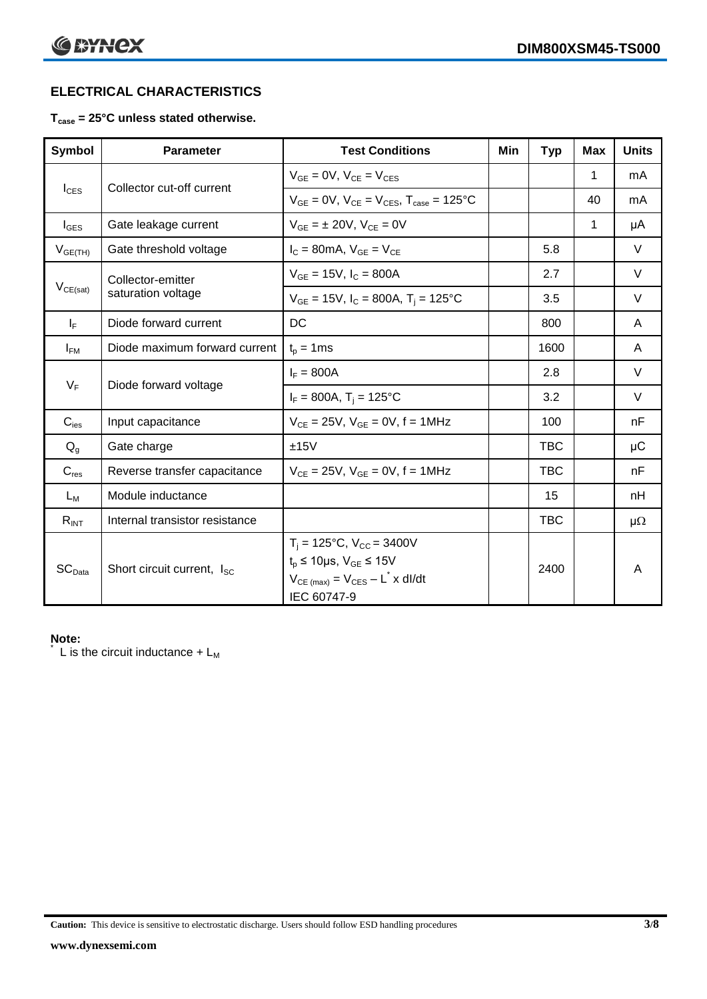# **ELECTRICAL CHARACTERISTICS**

### **Tcase = 25°C unless stated otherwise.**

| Symbol             | <b>Parameter</b>                       | <b>Test Conditions</b>                                                                                                                                      | Min | <b>Typ</b> | <b>Max</b>   | <b>Units</b> |
|--------------------|----------------------------------------|-------------------------------------------------------------------------------------------------------------------------------------------------------------|-----|------------|--------------|--------------|
| $I_{\text{CES}}$   | Collector cut-off current              | $V_{GF} = 0V$ , $V_{CF} = V_{CFS}$                                                                                                                          |     |            | 1            | mA           |
|                    |                                        | $V_{GF} = 0V$ , $V_{CF} = V_{CES}$ , $T_{case} = 125^{\circ}C$                                                                                              |     |            | 40           | mA           |
| $I_{\text{GES}}$   | Gate leakage current                   | $V_{GF} = \pm 20V$ , $V_{CF} = 0V$                                                                                                                          |     |            | $\mathbf{1}$ | μA           |
| $V_{GE(TH)}$       | Gate threshold voltage                 | $I_C = 80mA$ , $V_{GE} = V_{CE}$                                                                                                                            |     | 5.8        |              | V            |
|                    | Collector-emitter                      | $V_{GE} = 15V$ , $I_C = 800A$                                                                                                                               |     | 2.7        |              | V            |
| $V_{CE(sat)}$      | saturation voltage                     | $V_{GF}$ = 15V, $I_C$ = 800A, T <sub>i</sub> = 125°C                                                                                                        |     | 3.5        |              | $\vee$       |
| $I_F$              | Diode forward current                  | DC                                                                                                                                                          |     | 800        |              | A            |
| $I_{FM}$           | Diode maximum forward current          | $t_p = 1$ ms                                                                                                                                                |     | 1600       |              | A            |
| $V_F$              | Diode forward voltage                  | $I_F = 800A$                                                                                                                                                |     | 2.8        |              | $\vee$       |
|                    |                                        | $I_F = 800A$ , $T_i = 125^{\circ}C$                                                                                                                         |     | 3.2        |              | V            |
| $C_{\text{ies}}$   | Input capacitance                      | $V_{CE} = 25V$ , $V_{GE} = 0V$ , f = 1MHz                                                                                                                   |     | 100        |              | nF           |
| $Q_g$              | Gate charge                            | ±15V                                                                                                                                                        |     | <b>TBC</b> |              | $\mu$ C      |
| $C_{res}$          | Reverse transfer capacitance           | $V_{CE} = 25V$ , $V_{GE} = 0V$ , $f = 1MHz$                                                                                                                 |     | <b>TBC</b> |              | nF           |
| $L_M$              | Module inductance                      |                                                                                                                                                             |     | 15         |              | nH           |
| $R_{INT}$          | Internal transistor resistance         |                                                                                                                                                             |     | <b>TBC</b> |              | $\mu\Omega$  |
| SC <sub>Data</sub> | Short circuit current, I <sub>SC</sub> | $T_i = 125$ °C, $V_{CC} = 3400V$<br>$t_p \le 10 \mu s$ , $V_{GE} \le 15 V$<br>$V_{CE \text{ (max)}} = V_{CES} - L^{\dagger} x \text{ dI/dt}$<br>IEC 60747-9 |     | 2400       |              | A            |

### **Note:**

L is the circuit inductance  $+ L_M$ 

**Caution:** This device is sensitive to electrostatic discharge. Users should follow ESD handling procedures **3/8**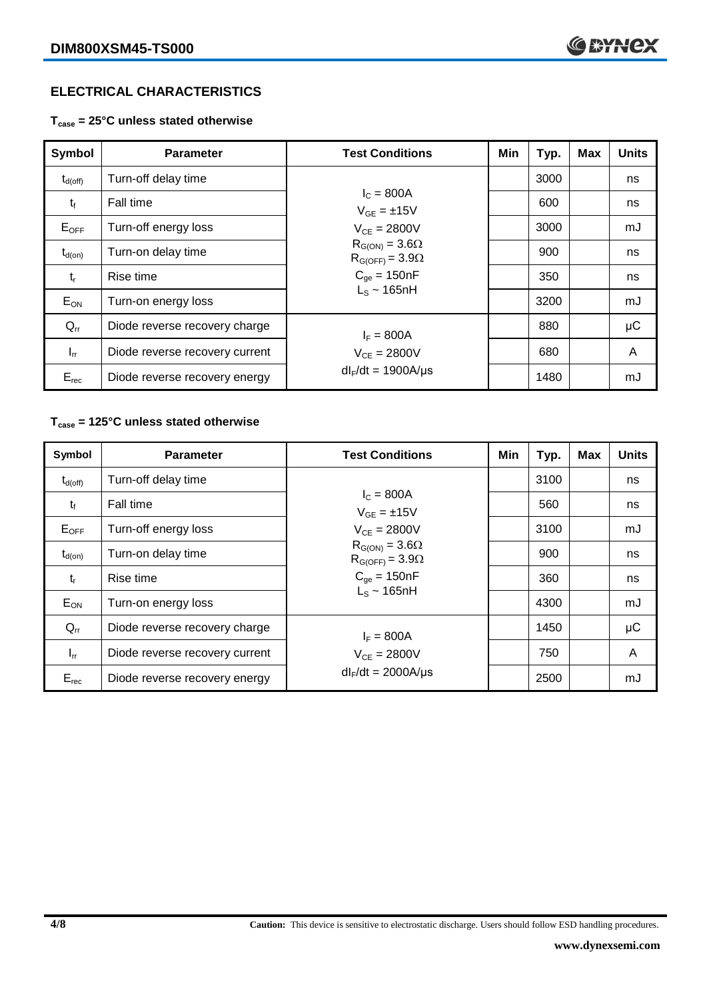# **ELECTRICAL CHARACTERISTICS**

**Tcase = 25°C unless stated otherwise**

| Symbol              | <b>Parameter</b>               | <b>Test Conditions</b>                              | Min | Typ. | Max | <b>Units</b> |
|---------------------|--------------------------------|-----------------------------------------------------|-----|------|-----|--------------|
| $t_{d(\text{off})}$ | Turn-off delay time            |                                                     |     | 3000 |     | ns           |
| $t_{\rm f}$         | <b>Fall time</b>               | $I_{C} = 800A$<br>$V_{GF} = \pm 15V$                |     | 600  |     | ns           |
| $E_{OFF}$           | Turn-off energy loss           | $V_{CF} = 2800V$                                    |     | 3000 |     | mJ           |
| $t_{d(on)}$         | Turn-on delay time             | $R_{G(ON)} = 3.6\Omega$<br>$R_{G(OFF)} = 3.9\Omega$ |     | 900  |     | ns           |
| $t_{r}$             | Rise time                      | $C_{\text{qe}} = 150nF$                             |     | 350  |     | ns           |
| $E_{ON}$            | Turn-on energy loss            | $L_s \sim 165$ nH                                   |     | 3200 |     | mJ           |
| $Q_{rr}$            | Diode reverse recovery charge  | $I_F = 800A$                                        |     | 880  |     | $\mu$ C      |
| $I_{rr}$            | Diode reverse recovery current | $V_{CE} = 2800V$                                    |     | 680  |     | A            |
| $E_{rec}$           | Diode reverse recovery energy  | $dl_F/dt = 1900A/\mu s$                             |     | 1480 |     | mJ           |

## **Tcase = 125°C unless stated otherwise**

| Symbol       | <b>Parameter</b>               | <b>Test Conditions</b>                              | Min | Typ. | <b>Max</b> | <b>Units</b> |
|--------------|--------------------------------|-----------------------------------------------------|-----|------|------------|--------------|
| $t_{d(off)}$ | Turn-off delay time            |                                                     |     | 3100 |            | ns           |
| $t_{\rm f}$  | Fall time                      | $I_{C} = 800A$<br>$V_{GE} = \pm 15V$                |     | 560  |            | ns           |
| $E_{OFF}$    | Turn-off energy loss           | $V_{CE} = 2800V$                                    |     | 3100 |            | mJ           |
| $t_{d(0n)}$  | Turn-on delay time             | $R_{G(ON)} = 3.6\Omega$<br>$R_{G(OFF)} = 3.9\Omega$ |     | 900  |            | ns           |
| $t_{r}$      | Rise time                      | $C_{qe} = 150nF$                                    |     | 360  |            | ns           |
| $E_{ON}$     | Turn-on energy loss            | $L_s \sim 165$ nH                                   |     | 4300 |            | mJ           |
| $Q_{rr}$     | Diode reverse recovery charge  | $I_F = 800A$                                        |     | 1450 |            | μC           |
| $I_{rr}$     | Diode reverse recovery current | $V_{CE} = 2800V$                                    |     | 750  |            | A            |
| $E_{rec}$    | Diode reverse recovery energy  | $dl_F/dt = 2000A/\mu s$                             |     | 2500 |            | mJ           |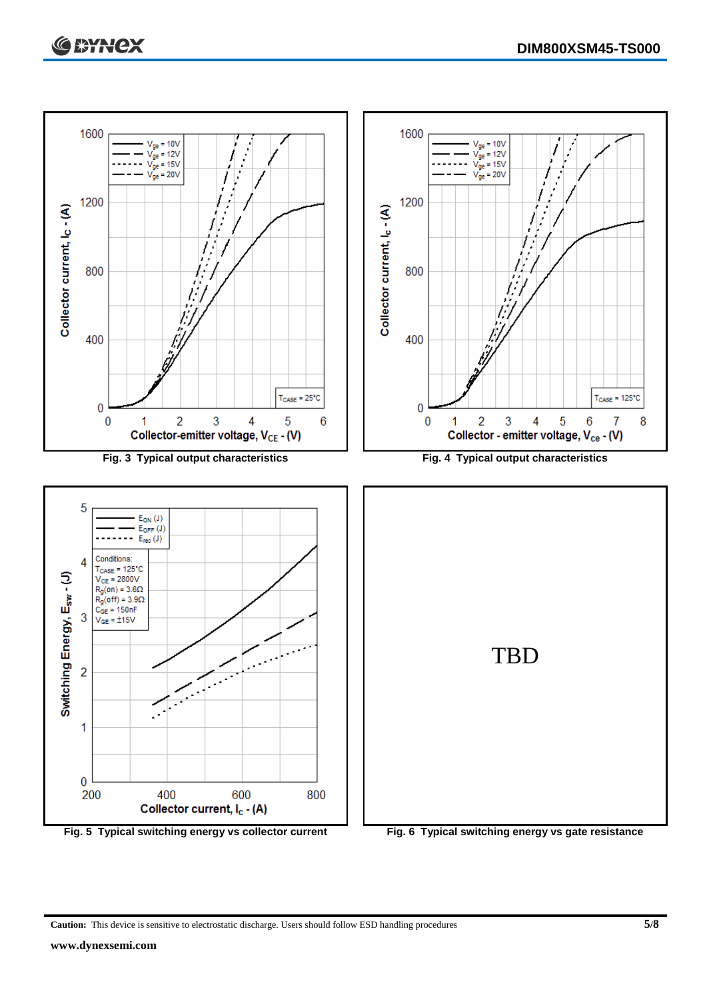

**Caution:** This device is sensitive to electrostatic discharge. Users should follow ESD handling procedures **5/8**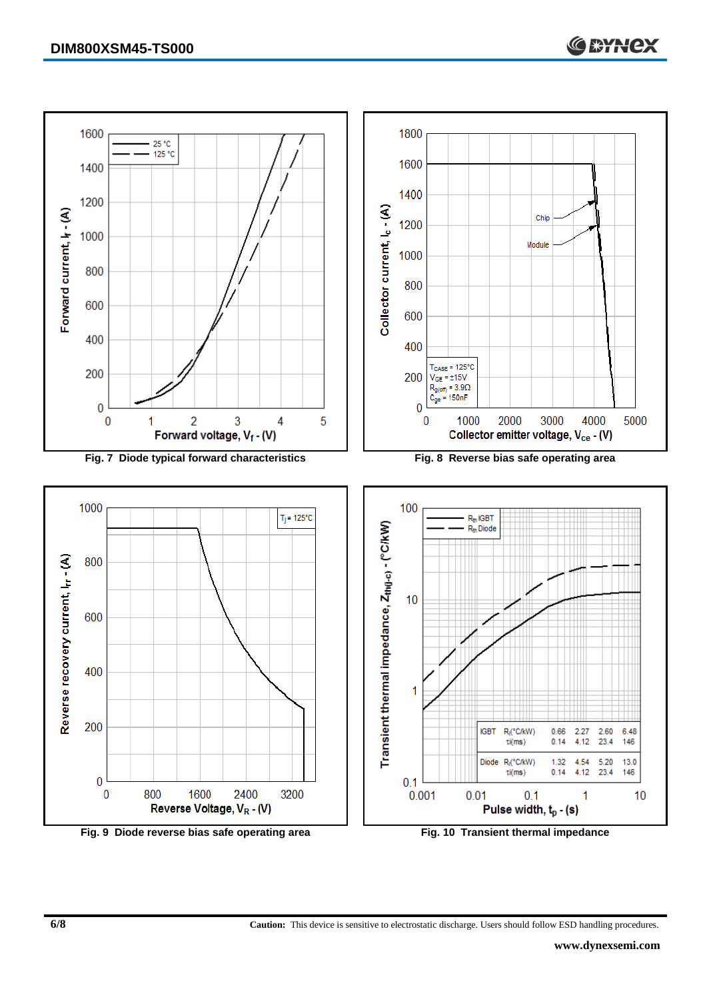

**6/8 Caution:** This device is sensitive to electrostatic discharge. Users should follow ESD handling procedures.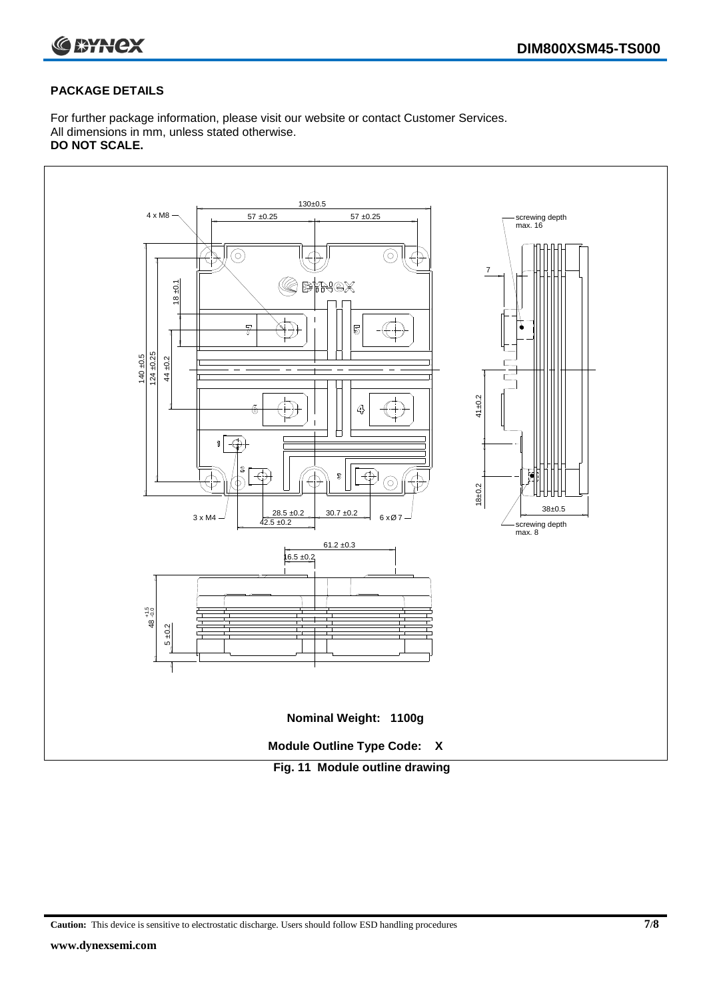

#### **PACKAGE DETAILS**

For further package information, please visit our website or contact Customer Services. All dimensions in mm, unless stated otherwise. **DO NOT SCALE.**



**Caution:** This device is sensitive to electrostatic discharge. Users should follow ESD handling procedures **7/8**